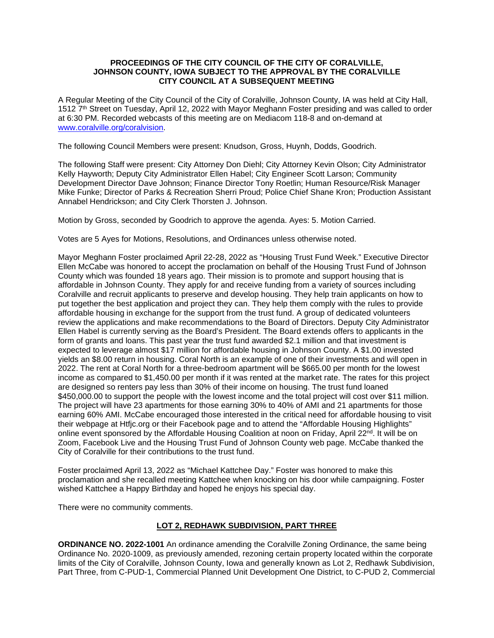### **PROCEEDINGS OF THE CITY COUNCIL OF THE CITY OF CORALVILLE, JOHNSON COUNTY, IOWA SUBJECT TO THE APPROVAL BY THE CORALVILLE CITY COUNCIL AT A SUBSEQUENT MEETING**

A Regular Meeting of the City Council of the City of Coralville, Johnson County, IA was held at City Hall, 1512 7th Street on Tuesday, April 12, 2022 with Mayor Meghann Foster presiding and was called to order at 6:30 PM. Recorded webcasts of this meeting are on Mediacom 118-8 and on-demand at [www.coralville.org/coralvision.](http://www.coralville.org/coralvision)

The following Council Members were present: Knudson, Gross, Huynh, Dodds, Goodrich.

The following Staff were present: City Attorney Don Diehl; City Attorney Kevin Olson; City Administrator Kelly Hayworth; Deputy City Administrator Ellen Habel; City Engineer Scott Larson; Community Development Director Dave Johnson; Finance Director Tony Roetlin; Human Resource/Risk Manager Mike Funke; Director of Parks & Recreation Sherri Proud; Police Chief Shane Kron; Production Assistant Annabel Hendrickson; and City Clerk Thorsten J. Johnson.

Motion by Gross, seconded by Goodrich to approve the agenda. Ayes: 5. Motion Carried.

Votes are 5 Ayes for Motions, Resolutions, and Ordinances unless otherwise noted.

Mayor Meghann Foster proclaimed April 22-28, 2022 as "Housing Trust Fund Week." Executive Director Ellen McCabe was honored to accept the proclamation on behalf of the Housing Trust Fund of Johnson County which was founded 18 years ago. Their mission is to promote and support housing that is affordable in Johnson County. They apply for and receive funding from a variety of sources including Coralville and recruit applicants to preserve and develop housing. They help train applicants on how to put together the best application and project they can. They help them comply with the rules to provide affordable housing in exchange for the support from the trust fund. A group of dedicated volunteers review the applications and make recommendations to the Board of Directors. Deputy City Administrator Ellen Habel is currently serving as the Board's President. The Board extends offers to applicants in the form of grants and loans. This past year the trust fund awarded \$2.1 million and that investment is expected to leverage almost \$17 million for affordable housing in Johnson County. A \$1.00 invested yields an \$8.00 return in housing. Coral North is an example of one of their investments and will open in 2022. The rent at Coral North for a three-bedroom apartment will be \$665.00 per month for the lowest income as compared to \$1,450.00 per month if it was rented at the market rate. The rates for this project are designed so renters pay less than 30% of their income on housing. The trust fund loaned \$450,000.00 to support the people with the lowest income and the total project will cost over \$11 million. The project will have 23 apartments for those earning 30% to 40% of AMI and 21 apartments for those earning 60% AMI. McCabe encouraged those interested in the critical need for affordable housing to visit their webpage at Htfjc.org or their Facebook page and to attend the "Affordable Housing Highlights" online event sponsored by the Affordable Housing Coalition at noon on Friday, April 22<sup>nd</sup>. It will be on Zoom, Facebook Live and the Housing Trust Fund of Johnson County web page. McCabe thanked the City of Coralville for their contributions to the trust fund.

Foster proclaimed April 13, 2022 as "Michael Kattchee Day." Foster was honored to make this proclamation and she recalled meeting Kattchee when knocking on his door while campaigning. Foster wished Kattchee a Happy Birthday and hoped he enjoys his special day.

There were no community comments.

#### **LOT 2, REDHAWK SUBDIVISION, PART THREE**

**ORDINANCE NO. 2022-1001** An ordinance amending the Coralville Zoning Ordinance, the same being Ordinance No. 2020-1009, as previously amended, rezoning certain property located within the corporate limits of the City of Coralville, Johnson County, Iowa and generally known as Lot 2, Redhawk Subdivision, Part Three, from C-PUD-1, Commercial Planned Unit Development One District, to C-PUD 2, Commercial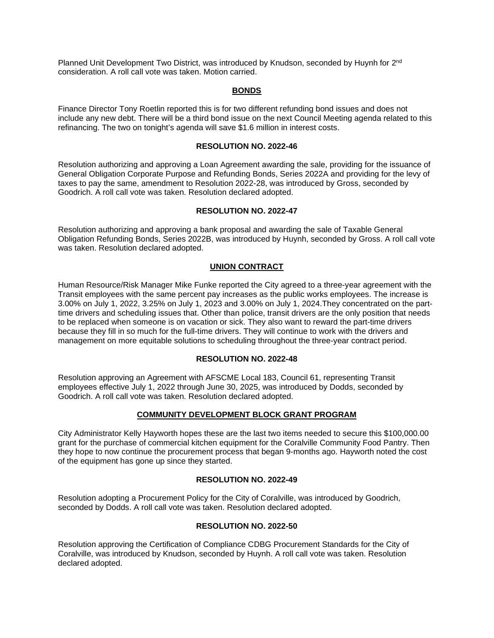Planned Unit Development Two District, was introduced by Knudson, seconded by Huynh for 2<sup>nd</sup> consideration. A roll call vote was taken. Motion carried.

### **BONDS**

Finance Director Tony Roetlin reported this is for two different refunding bond issues and does not include any new debt. There will be a third bond issue on the next Council Meeting agenda related to this refinancing. The two on tonight's agenda will save \$1.6 million in interest costs.

#### **RESOLUTION NO. 2022-46**

Resolution authorizing and approving a Loan Agreement awarding the sale, providing for the issuance of General Obligation Corporate Purpose and Refunding Bonds, Series 2022A and providing for the levy of taxes to pay the same, amendment to Resolution 2022-28, was introduced by Gross, seconded by Goodrich. A roll call vote was taken. Resolution declared adopted.

### **RESOLUTION NO. 2022-47**

Resolution authorizing and approving a bank proposal and awarding the sale of Taxable General Obligation Refunding Bonds, Series 2022B, was introduced by Huynh, seconded by Gross. A roll call vote was taken. Resolution declared adopted.

## **UNION CONTRACT**

Human Resource/Risk Manager Mike Funke reported the City agreed to a three-year agreement with the Transit employees with the same percent pay increases as the public works employees. The increase is 3.00% on July 1, 2022, 3.25% on July 1, 2023 and 3.00% on July 1, 2024.They concentrated on the parttime drivers and scheduling issues that. Other than police, transit drivers are the only position that needs to be replaced when someone is on vacation or sick. They also want to reward the part-time drivers because they fill in so much for the full-time drivers. They will continue to work with the drivers and management on more equitable solutions to scheduling throughout the three-year contract period.

#### **RESOLUTION NO. 2022-48**

Resolution approving an Agreement with AFSCME Local 183, Council 61, representing Transit employees effective July 1, 2022 through June 30, 2025, was introduced by Dodds, seconded by Goodrich. A roll call vote was taken. Resolution declared adopted.

#### **COMMUNITY DEVELOPMENT BLOCK GRANT PROGRAM**

City Administrator Kelly Hayworth hopes these are the last two items needed to secure this \$100,000.00 grant for the purchase of commercial kitchen equipment for the Coralville Community Food Pantry. Then they hope to now continue the procurement process that began 9-months ago. Hayworth noted the cost of the equipment has gone up since they started.

# **RESOLUTION NO. 2022-49**

Resolution adopting a Procurement Policy for the City of Coralville, was introduced by Goodrich, seconded by Dodds. A roll call vote was taken. Resolution declared adopted.

#### **RESOLUTION NO. 2022-50**

Resolution approving the Certification of Compliance CDBG Procurement Standards for the City of Coralville, was introduced by Knudson, seconded by Huynh. A roll call vote was taken. Resolution declared adopted.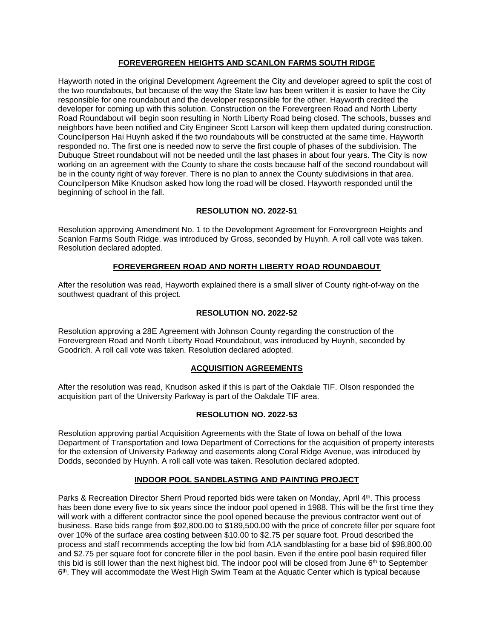# **FOREVERGREEN HEIGHTS AND SCANLON FARMS SOUTH RIDGE**

Hayworth noted in the original Development Agreement the City and developer agreed to split the cost of the two roundabouts, but because of the way the State law has been written it is easier to have the City responsible for one roundabout and the developer responsible for the other. Hayworth credited the developer for coming up with this solution. Construction on the Forevergreen Road and North Liberty Road Roundabout will begin soon resulting in North Liberty Road being closed. The schools, busses and neighbors have been notified and City Engineer Scott Larson will keep them updated during construction. Councilperson Hai Huynh asked if the two roundabouts will be constructed at the same time. Hayworth responded no. The first one is needed now to serve the first couple of phases of the subdivision. The Dubuque Street roundabout will not be needed until the last phases in about four years. The City is now working on an agreement with the County to share the costs because half of the second roundabout will be in the county right of way forever. There is no plan to annex the County subdivisions in that area. Councilperson Mike Knudson asked how long the road will be closed. Hayworth responded until the beginning of school in the fall.

## **RESOLUTION NO. 2022-51**

Resolution approving Amendment No. 1 to the Development Agreement for Forevergreen Heights and Scanlon Farms South Ridge, was introduced by Gross, seconded by Huynh. A roll call vote was taken. Resolution declared adopted.

## **FOREVERGREEN ROAD AND NORTH LIBERTY ROAD ROUNDABOUT**

After the resolution was read, Hayworth explained there is a small sliver of County right-of-way on the southwest quadrant of this project.

### **RESOLUTION NO. 2022-52**

Resolution approving a 28E Agreement with Johnson County regarding the construction of the Forevergreen Road and North Liberty Road Roundabout, was introduced by Huynh, seconded by Goodrich. A roll call vote was taken. Resolution declared adopted.

## **ACQUISITION AGREEMENTS**

After the resolution was read, Knudson asked if this is part of the Oakdale TIF. Olson responded the acquisition part of the University Parkway is part of the Oakdale TIF area.

#### **RESOLUTION NO. 2022-53**

Resolution approving partial Acquisition Agreements with the State of Iowa on behalf of the Iowa Department of Transportation and Iowa Department of Corrections for the acquisition of property interests for the extension of University Parkway and easements along Coral Ridge Avenue, was introduced by Dodds, seconded by Huynh. A roll call vote was taken. Resolution declared adopted.

## **INDOOR POOL SANDBLASTING AND PAINTING PROJECT**

Parks & Recreation Director Sherri Proud reported bids were taken on Monday, April 4th. This process has been done every five to six years since the indoor pool opened in 1988. This will be the first time they will work with a different contractor since the pool opened because the previous contractor went out of business. Base bids range from \$92,800.00 to \$189,500.00 with the price of concrete filler per square foot over 10% of the surface area costing between \$10.00 to \$2.75 per square foot. Proud described the process and staff recommends accepting the low bid from A1A sandblasting for a base bid of \$98,800.00 and \$2.75 per square foot for concrete filler in the pool basin. Even if the entire pool basin required filler this bid is still lower than the next highest bid. The indoor pool will be closed from June 6<sup>th</sup> to September  $6<sup>th</sup>$ . They will accommodate the West High Swim Team at the Aquatic Center which is typical because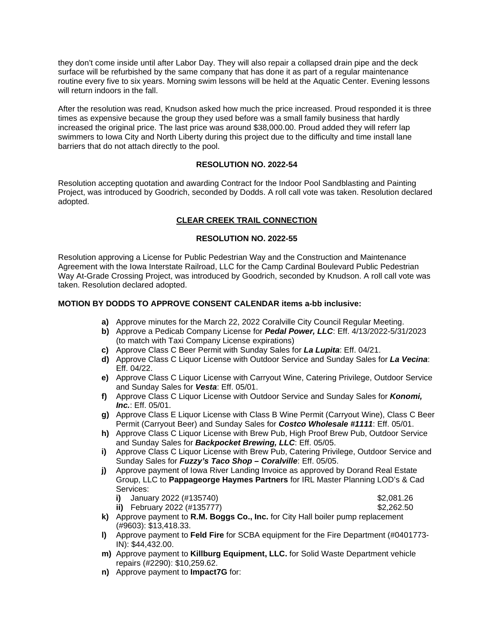they don't come inside until after Labor Day. They will also repair a collapsed drain pipe and the deck surface will be refurbished by the same company that has done it as part of a regular maintenance routine every five to six years. Morning swim lessons will be held at the Aquatic Center. Evening lessons will return indoors in the fall.

After the resolution was read, Knudson asked how much the price increased. Proud responded it is three times as expensive because the group they used before was a small family business that hardly increased the original price. The last price was around \$38,000.00. Proud added they will referr lap swimmers to Iowa City and North Liberty during this project due to the difficulty and time install lane barriers that do not attach directly to the pool.

### **RESOLUTION NO. 2022-54**

Resolution accepting quotation and awarding Contract for the Indoor Pool Sandblasting and Painting Project, was introduced by Goodrich, seconded by Dodds. A roll call vote was taken. Resolution declared adopted.

## **CLEAR CREEK TRAIL CONNECTION**

### **RESOLUTION NO. 2022-55**

Resolution approving a License for Public Pedestrian Way and the Construction and Maintenance Agreement with the Iowa Interstate Railroad, LLC for the Camp Cardinal Boulevard Public Pedestrian Way At-Grade Crossing Project, was introduced by Goodrich, seconded by Knudson. A roll call vote was taken. Resolution declared adopted.

### **MOTION BY DODDS TO APPROVE CONSENT CALENDAR items a-bb inclusive:**

- **a)** Approve minutes for the March 22, 2022 Coralville City Council Regular Meeting.
- **b)** Approve a Pedicab Company License for *Pedal Power, LLC*: Eff. 4/13/2022-5/31/2023 (to match with Taxi Company License expirations)
- **c)** Approve Class C Beer Permit with Sunday Sales for *La Lupita*: Eff. 04/21.
- **d)** Approve Class C Liquor License with Outdoor Service and Sunday Sales for *La Vecina*: Eff. 04/22.
- **e)** Approve Class C Liquor License with Carryout Wine, Catering Privilege, Outdoor Service and Sunday Sales for *Vesta*: Eff. 05/01.
- **f)** Approve Class C Liquor License with Outdoor Service and Sunday Sales for *Konomi, Inc.*: Eff. 05/01.
- **g)** Approve Class E Liquor License with Class B Wine Permit (Carryout Wine), Class C Beer Permit (Carryout Beer) and Sunday Sales for *Costco Wholesale #1111*: Eff. 05/01.
- **h)** Approve Class C Liquor License with Brew Pub, High Proof Brew Pub, Outdoor Service and Sunday Sales for *Backpocket Brewing, LLC*: Eff. 05/05.
- **i)** Approve Class C Liquor License with Brew Pub, Catering Privilege, Outdoor Service and Sunday Sales for *Fuzzy's Taco Shop – Coralville*: Eff. 05/05.
- **j)** Approve payment of Iowa River Landing Invoice as approved by Dorand Real Estate Group, LLC to **Pappageorge Haymes Partners** for IRL Master Planning LOD's & Cad Services:
	- **i)** January 2022 (#135740) \$2,081.26
	- **ii)** February 2022 (#135777)
- 
- **k)** Approve payment to **R.M. Boggs Co., Inc.** for City Hall boiler pump replacement (#9603): \$13,418.33.
- **l)** Approve payment to **Feld Fire** for SCBA equipment for the Fire Department (#0401773- IN): \$44,432.00.
- **m)** Approve payment to **Killburg Equipment, LLC.** for Solid Waste Department vehicle repairs (#2290): \$10,259.62.
- **n)** Approve payment to **Impact7G** for: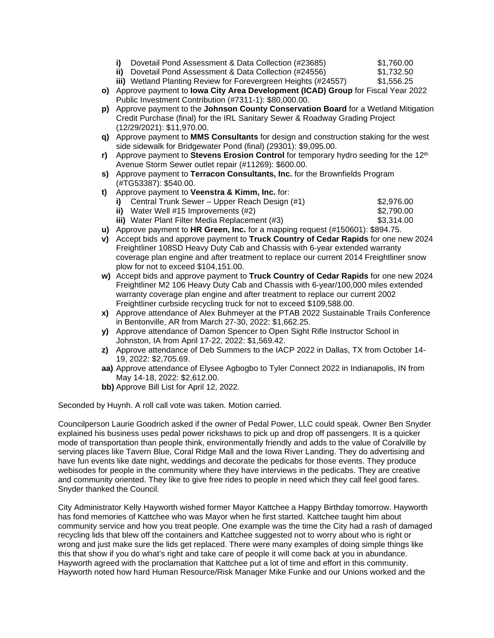- **i)** Dovetail Pond Assessment & Data Collection (#23685) \$1,760.00
- **ii)** Dovetail Pond Assessment & Data Collection (#24556) \$1,732.50<br> **iii)** Wetland Planting Review for Forevergreen Heights (#24557) \$1.556.25

**iii)** Wetland Planting Review for Forevergreen Heights (#24557)

- **o)** Approve payment to **Iowa City Area Development (ICAD) Group** for Fiscal Year 2022 Public Investment Contribution (#7311-1): \$80,000.00.
- **p)** Approve payment to the **Johnson County Conservation Board** for a Wetland Mitigation Credit Purchase (final) for the IRL Sanitary Sewer & Roadway Grading Project (12/29/2021): \$11,970.00.
- **q)** Approve payment to **MMS Consultants** for design and construction staking for the west side sidewalk for Bridgewater Pond (final) (29301): \$9,095.00.
- **r)** Approve payment to **Stevens Erosion Control** for temporary hydro seeding for the 12<sup>th</sup> Avenue Storm Sewer outlet repair (#11269): \$600.00.
- **s)** Approve payment to **Terracon Consultants, Inc.** for the Brownfields Program (#TG53387): \$540.00.
- **t)** Approve payment to **Veenstra & Kimm, Inc.** for:

|                   | i) Central Trunk Sewer – Upper Reach Design $(\#1)$ | \$2,976.00                                          |
|-------------------|-----------------------------------------------------|-----------------------------------------------------|
| $\cdots$ $\cdots$ |                                                     | $\bullet \bullet = \bullet \bullet \bullet \bullet$ |

**ii)** Water Well #15 Improvements (#2) **\$2,790.00** 

**iii)** Water Plant Filter Media Replacement (#3)  $$3,314.00$ 

- **u)** Approve payment to **HR Green, Inc.** for a mapping request (#150601): \$894.75.
- **v)** Accept bids and approve payment to **Truck Country of Cedar Rapids** for one new 2024 Freightliner 108SD Heavy Duty Cab and Chassis with 6-year extended warranty coverage plan engine and after treatment to replace our current 2014 Freightliner snow plow for not to exceed \$104,151.00.
- **w)** Accept bids and approve payment to **Truck Country of Cedar Rapids** for one new 2024 Freightliner M2 106 Heavy Duty Cab and Chassis with 6-year/100,000 miles extended warranty coverage plan engine and after treatment to replace our current 2002 Freightliner curbside recycling truck for not to exceed \$109,588.00.
- **x)** Approve attendance of Alex Buhmeyer at the PTAB 2022 Sustainable Trails Conference in Bentonville, AR from March 27-30, 2022: \$1,662.25.
- **y)** Approve attendance of Damon Spencer to Open Sight Rifle Instructor School in Johnston, IA from April 17-22, 2022: \$1,569.42.
- **z)** Approve attendance of Deb Summers to the IACP 2022 in Dallas, TX from October 14- 19, 2022: \$2,705.69.
- **aa)** Approve attendance of Elysee Agbogbo to Tyler Connect 2022 in Indianapolis, IN from May 14-18, 2022: \$2,612.00.
- **bb)** Approve Bill List for April 12, 2022.

Seconded by Huynh. A roll call vote was taken. Motion carried.

Councilperson Laurie Goodrich asked if the owner of Pedal Power, LLC could speak. Owner Ben Snyder explained his business uses pedal power rickshaws to pick up and drop off passengers. It is a quicker mode of transportation than people think, environmentally friendly and adds to the value of Coralville by serving places like Tavern Blue, Coral Ridge Mall and the Iowa River Landing. They do advertising and have fun events like date night, weddings and decorate the pedicabs for those events. They produce webisodes for people in the community where they have interviews in the pedicabs. They are creative and community oriented. They like to give free rides to people in need which they call feel good fares. Snyder thanked the Council.

City Administrator Kelly Hayworth wished former Mayor Kattchee a Happy Birthday tomorrow. Hayworth has fond memories of Kattchee who was Mayor when he first started. Kattchee taught him about community service and how you treat people. One example was the time the City had a rash of damaged recycling lids that blew off the containers and Kattchee suggested not to worry about who is right or wrong and just make sure the lids get replaced. There were many examples of doing simple things like this that show if you do what's right and take care of people it will come back at you in abundance. Hayworth agreed with the proclamation that Kattchee put a lot of time and effort in this community. Hayworth noted how hard Human Resource/Risk Manager Mike Funke and our Unions worked and the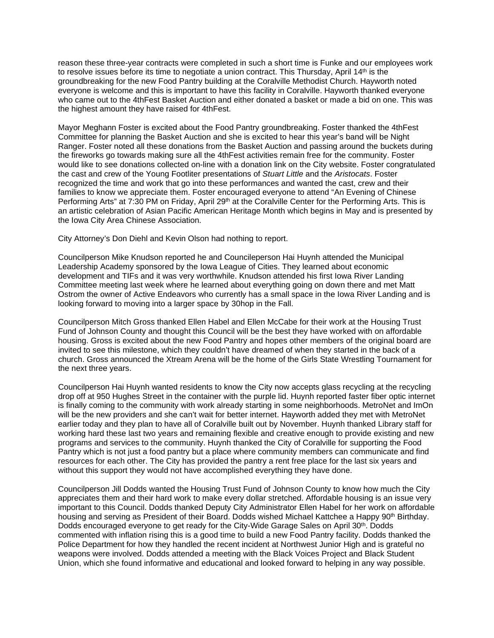reason these three-year contracts were completed in such a short time is Funke and our employees work to resolve issues before its time to negotiate a union contract. This Thursday, April 14<sup>th</sup> is the groundbreaking for the new Food Pantry building at the Coralville Methodist Church. Hayworth noted everyone is welcome and this is important to have this facility in Coralville. Hayworth thanked everyone who came out to the 4thFest Basket Auction and either donated a basket or made a bid on one. This was the highest amount they have raised for 4thFest.

Mayor Meghann Foster is excited about the Food Pantry groundbreaking. Foster thanked the 4thFest Committee for planning the Basket Auction and she is excited to hear this year's band will be Night Ranger. Foster noted all these donations from the Basket Auction and passing around the buckets during the fireworks go towards making sure all the 4thFest activities remain free for the community. Foster would like to see donations collected on-line with a donation link on the City website. Foster congratulated the cast and crew of the Young Footliter presentations of *Stuart Little* and the *Aristocats*. Foster recognized the time and work that go into these performances and wanted the cast, crew and their families to know we appreciate them. Foster encouraged everyone to attend "An Evening of Chinese Performing Arts" at 7:30 PM on Friday, April 29<sup>th</sup> at the Coralville Center for the Performing Arts. This is an artistic celebration of Asian Pacific American Heritage Month which begins in May and is presented by the Iowa City Area Chinese Association.

City Attorney's Don Diehl and Kevin Olson had nothing to report.

Councilperson Mike Knudson reported he and Councileperson Hai Huynh attended the Municipal Leadership Academy sponsored by the Iowa League of Cities. They learned about economic development and TIFs and it was very worthwhile. Knudson attended his first Iowa River Landing Committee meeting last week where he learned about everything going on down there and met Matt Ostrom the owner of Active Endeavors who currently has a small space in the Iowa River Landing and is looking forward to moving into a larger space by 30hop in the Fall.

Councilperson Mitch Gross thanked Ellen Habel and Ellen McCabe for their work at the Housing Trust Fund of Johnson County and thought this Council will be the best they have worked with on affordable housing. Gross is excited about the new Food Pantry and hopes other members of the original board are invited to see this milestone, which they couldn't have dreamed of when they started in the back of a church. Gross announced the Xtream Arena will be the home of the Girls State Wrestling Tournament for the next three years.

Councilperson Hai Huynh wanted residents to know the City now accepts glass recycling at the recycling drop off at 950 Hughes Street in the container with the purple lid. Huynh reported faster fiber optic internet is finally coming to the community with work already starting in some neighborhoods. MetroNet and ImOn will be the new providers and she can't wait for better internet. Hayworth added they met with MetroNet earlier today and they plan to have all of Coralville built out by November. Huynh thanked Library staff for working hard these last two years and remaining flexible and creative enough to provide existing and new programs and services to the community. Huynh thanked the City of Coralville for supporting the Food Pantry which is not just a food pantry but a place where community members can communicate and find resources for each other. The City has provided the pantry a rent free place for the last six years and without this support they would not have accomplished everything they have done.

Councilperson Jill Dodds wanted the Housing Trust Fund of Johnson County to know how much the City appreciates them and their hard work to make every dollar stretched. Affordable housing is an issue very important to this Council. Dodds thanked Deputy City Administrator Ellen Habel for her work on affordable housing and serving as President of their Board. Dodds wished Michael Kattchee a Happy 90<sup>th</sup> Birthday. Dodds encouraged everyone to get ready for the City-Wide Garage Sales on April 30th. Dodds commented with inflation rising this is a good time to build a new Food Pantry facility. Dodds thanked the Police Department for how they handled the recent incident at Northwest Junior High and is grateful no weapons were involved. Dodds attended a meeting with the Black Voices Project and Black Student Union, which she found informative and educational and looked forward to helping in any way possible.